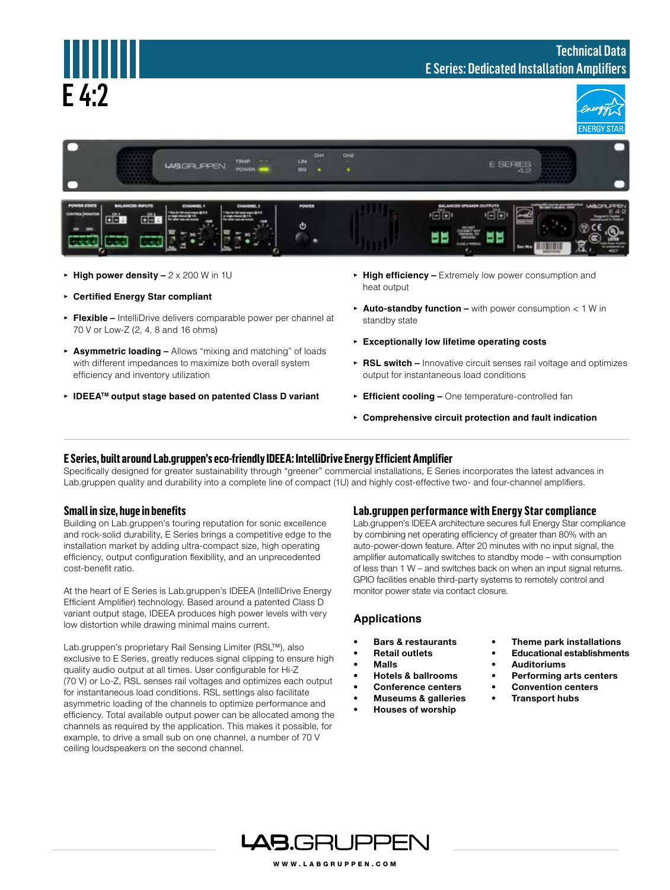

- **▸ High power density** 2 x 200 W in 1U
- **▸ Certified Energy Star compliant**
- **▸ Flexible** IntelliDrive delivers comparable power per channel at 70 V or Low-Z (2, 4, 8 and 16 ohms)
- **▸ Asymmetric loading** Allows "mixing and matching" of loads with different impedances to maximize both overall system efficiency and inventory utilization
- **▸ IDEEATM output stage based on patented Class D variant**
- **▸ High efficiency** Extremely low power consumption and heat output
- **▸ Auto-standby function** with power consumption < 1 W in standby state
- **▸ Exceptionally low lifetime operating costs**
- **▸ RSL switch** Innovative circuit senses rail voltage and optimizes output for instantaneous load conditions
- **▸ Efficient cooling** One temperature-controlled fan
- **▸ Comprehensive circuit protection and fault indication**

## **E Series, built around Lab.gruppen's eco-friendly IDEEA: IntelliDrive Energy Efficient Amplifier**

Specifically designed for greater sustainability through "greener" commercial installations, E Series incorporates the latest advances in Lab.gruppen quality and durability into a complete line of compact (1U) and highly cost-effective two- and four-channel amplifiers.

## **Small in size, huge in benefits**

Building on Lab.gruppen's touring reputation for sonic excellence and rock-solid durability, E Series brings a competitive edge to the installation market by adding ultra-compact size, high operating efficiency, output configuration flexibility, and an unprecedented cost-benefit ratio.

At the heart of E Series is Lab.gruppen's IDEEA (IntelliDrive Energy Efficient Amplifier) technology. Based around a patented Class D variant output stage, IDEEA produces high power levels with very low distortion while drawing minimal mains current.

Lab.gruppen's proprietary Rail Sensing Limiter (RSL™), also exclusive to E Series, greatly reduces signal clipping to ensure high quality audio output at all times. User configurable for Hi-Z (70 V) or Lo-Z, RSL senses rail voltages and optimizes each output for instantaneous load conditions. RSL settings also facilitate asymmetric loading of the channels to optimize performance and efficiency. Total available output power can be allocated among the channels as required by the application. This makes it possible, for example, to drive a small sub on one channel, a number of 70 V ceiling loudspeakers on the second channel.

#### **Lab.gruppen performance with Energy Star compliance**

Lab.gruppen's IDEEA architecture secures full Energy Star compliance by combining net operating efficiency of greater than 80% with an auto-power-down feature. After 20 minutes with no input signal, the amplifier automatically switches to standby mode – with consumption of less than 1 W – and switches back on when an input signal returns. GPIO facilities enable third-party systems to remotely control and monitor power state via contact closure.

### **Applications**

- **• Bars & restaurants**
- **• Retail outlets**
- **• Malls**
- **• Hotels & ballrooms**
- **• Conference centers**
- **• Museums & galleries**
- **• Houses of worship**
- **• Theme park installations**
- **Educational establishments**
- **• Auditoriums**
- **Performing arts centers**
- **• Convention centers**
- **Transport hubs**